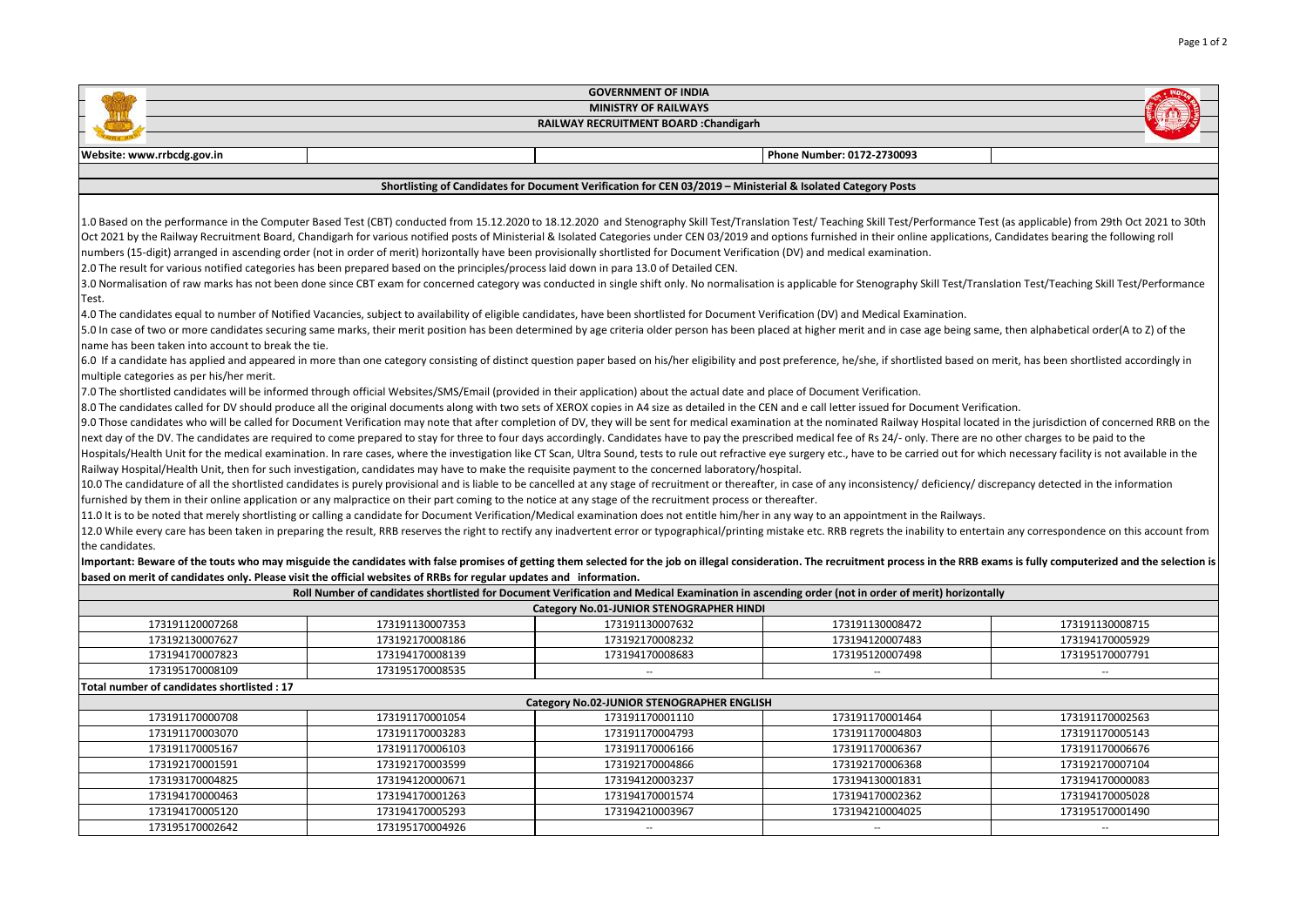| <b>GOVERNMENT OF INDIA</b>                                                                                                                                                                                                                                                                                                                                                                                                                                                                                                                                                                                                                                                                                                                                                                                                                                                                                                                                                                                                                                                                                                                                                                                                                                                                                                                                                                                                                                                                                                                                                                                                                                                                                                                                                                                                                                                                                                                                                                                                                                                                                                                                                                                                                                                                                                                                                                                                                                                                                                                                                                                                                                                                                                                                                                                                                                                                                                                                                                                                                                                                                                                                                                                                                                                                                                                                                                                                                                                                                                                                                                                                                                                                                                                                                                                                                                                                                                                                                                                                                                                                                                                           |                                                                                                                    |                                                                                                                                                 |                            |                          |  |  |  |  |
|------------------------------------------------------------------------------------------------------------------------------------------------------------------------------------------------------------------------------------------------------------------------------------------------------------------------------------------------------------------------------------------------------------------------------------------------------------------------------------------------------------------------------------------------------------------------------------------------------------------------------------------------------------------------------------------------------------------------------------------------------------------------------------------------------------------------------------------------------------------------------------------------------------------------------------------------------------------------------------------------------------------------------------------------------------------------------------------------------------------------------------------------------------------------------------------------------------------------------------------------------------------------------------------------------------------------------------------------------------------------------------------------------------------------------------------------------------------------------------------------------------------------------------------------------------------------------------------------------------------------------------------------------------------------------------------------------------------------------------------------------------------------------------------------------------------------------------------------------------------------------------------------------------------------------------------------------------------------------------------------------------------------------------------------------------------------------------------------------------------------------------------------------------------------------------------------------------------------------------------------------------------------------------------------------------------------------------------------------------------------------------------------------------------------------------------------------------------------------------------------------------------------------------------------------------------------------------------------------------------------------------------------------------------------------------------------------------------------------------------------------------------------------------------------------------------------------------------------------------------------------------------------------------------------------------------------------------------------------------------------------------------------------------------------------------------------------------------------------------------------------------------------------------------------------------------------------------------------------------------------------------------------------------------------------------------------------------------------------------------------------------------------------------------------------------------------------------------------------------------------------------------------------------------------------------------------------------------------------------------------------------------------------------------------------------------------------------------------------------------------------------------------------------------------------------------------------------------------------------------------------------------------------------------------------------------------------------------------------------------------------------------------------------------------------------------------------------------------------------------------------------------------------|--------------------------------------------------------------------------------------------------------------------|-------------------------------------------------------------------------------------------------------------------------------------------------|----------------------------|--------------------------|--|--|--|--|
| <b>MINISTRY OF RAILWAYS</b>                                                                                                                                                                                                                                                                                                                                                                                                                                                                                                                                                                                                                                                                                                                                                                                                                                                                                                                                                                                                                                                                                                                                                                                                                                                                                                                                                                                                                                                                                                                                                                                                                                                                                                                                                                                                                                                                                                                                                                                                                                                                                                                                                                                                                                                                                                                                                                                                                                                                                                                                                                                                                                                                                                                                                                                                                                                                                                                                                                                                                                                                                                                                                                                                                                                                                                                                                                                                                                                                                                                                                                                                                                                                                                                                                                                                                                                                                                                                                                                                                                                                                                                          |                                                                                                                    |                                                                                                                                                 |                            |                          |  |  |  |  |
| RAILWAY RECRUITMENT BOARD : Chandigarh                                                                                                                                                                                                                                                                                                                                                                                                                                                                                                                                                                                                                                                                                                                                                                                                                                                                                                                                                                                                                                                                                                                                                                                                                                                                                                                                                                                                                                                                                                                                                                                                                                                                                                                                                                                                                                                                                                                                                                                                                                                                                                                                                                                                                                                                                                                                                                                                                                                                                                                                                                                                                                                                                                                                                                                                                                                                                                                                                                                                                                                                                                                                                                                                                                                                                                                                                                                                                                                                                                                                                                                                                                                                                                                                                                                                                                                                                                                                                                                                                                                                                                               |                                                                                                                    |                                                                                                                                                 |                            |                          |  |  |  |  |
|                                                                                                                                                                                                                                                                                                                                                                                                                                                                                                                                                                                                                                                                                                                                                                                                                                                                                                                                                                                                                                                                                                                                                                                                                                                                                                                                                                                                                                                                                                                                                                                                                                                                                                                                                                                                                                                                                                                                                                                                                                                                                                                                                                                                                                                                                                                                                                                                                                                                                                                                                                                                                                                                                                                                                                                                                                                                                                                                                                                                                                                                                                                                                                                                                                                                                                                                                                                                                                                                                                                                                                                                                                                                                                                                                                                                                                                                                                                                                                                                                                                                                                                                                      |                                                                                                                    |                                                                                                                                                 |                            |                          |  |  |  |  |
| Website: www.rrbcdg.gov.in                                                                                                                                                                                                                                                                                                                                                                                                                                                                                                                                                                                                                                                                                                                                                                                                                                                                                                                                                                                                                                                                                                                                                                                                                                                                                                                                                                                                                                                                                                                                                                                                                                                                                                                                                                                                                                                                                                                                                                                                                                                                                                                                                                                                                                                                                                                                                                                                                                                                                                                                                                                                                                                                                                                                                                                                                                                                                                                                                                                                                                                                                                                                                                                                                                                                                                                                                                                                                                                                                                                                                                                                                                                                                                                                                                                                                                                                                                                                                                                                                                                                                                                           |                                                                                                                    |                                                                                                                                                 | Phone Number: 0172-2730093 |                          |  |  |  |  |
| Shortlisting of Candidates for Document Verification for CEN 03/2019 - Ministerial & Isolated Category Posts                                                                                                                                                                                                                                                                                                                                                                                                                                                                                                                                                                                                                                                                                                                                                                                                                                                                                                                                                                                                                                                                                                                                                                                                                                                                                                                                                                                                                                                                                                                                                                                                                                                                                                                                                                                                                                                                                                                                                                                                                                                                                                                                                                                                                                                                                                                                                                                                                                                                                                                                                                                                                                                                                                                                                                                                                                                                                                                                                                                                                                                                                                                                                                                                                                                                                                                                                                                                                                                                                                                                                                                                                                                                                                                                                                                                                                                                                                                                                                                                                                         |                                                                                                                    |                                                                                                                                                 |                            |                          |  |  |  |  |
|                                                                                                                                                                                                                                                                                                                                                                                                                                                                                                                                                                                                                                                                                                                                                                                                                                                                                                                                                                                                                                                                                                                                                                                                                                                                                                                                                                                                                                                                                                                                                                                                                                                                                                                                                                                                                                                                                                                                                                                                                                                                                                                                                                                                                                                                                                                                                                                                                                                                                                                                                                                                                                                                                                                                                                                                                                                                                                                                                                                                                                                                                                                                                                                                                                                                                                                                                                                                                                                                                                                                                                                                                                                                                                                                                                                                                                                                                                                                                                                                                                                                                                                                                      |                                                                                                                    |                                                                                                                                                 |                            |                          |  |  |  |  |
| 1.0 Based on the performance in the Computer Based Test (CBT) conducted from 15.12.2020 to 18.12.2020 and Stenography Skill Test/Translation Test/ Teaching Skill Test/Performance Test (as applicable) from 29th Oct 2021 to<br>Oct 2021 by the Railway Recruitment Board, Chandigarh for various notified posts of Ministerial & Isolated Categories under CEN 03/2019 and options furnished in their online applications, Candidates bearing the following r<br>numbers (15-digit) arranged in ascending order (not in order of merit) horizontally have been provisionally shortlisted for Document Verification (DV) and medical examination.<br>2.0 The result for various notified categories has been prepared based on the principles/process laid down in para 13.0 of Detailed CEN.<br>3.0 Normalisation of raw marks has not been done since CBT exam for concerned category was conducted in single shift only. No normalisation is applicable for Stenography Skill Test/Translation Test/Teaching Skill Test/Perf<br>Test.<br>4.0 The candidates equal to number of Notified Vacancies, subject to availability of eligible candidates, have been shortlisted for Document Verification (DV) and Medical Examination.<br>[5.0] In case of two or more candidates securing same marks, their merit position has been determined by age criteria older person has been placed at higher merit and in case age being same, then alphabetical order(A to Z)<br>name has been taken into account to break the tie.<br>6.0 If a candidate has applied and appeared in more than one category consisting of distinct question paper based on his/her eligibility and post preference, he/she, if shortlisted based on merit, has been shortlisted acco<br>multiple categories as per his/her merit.<br>7.0 The shortlisted candidates will be informed through official Websites/SMS/Email (provided in their application) about the actual date and place of Document Verification.<br>8.0 The candidates called for DV should produce all the original documents along with two sets of XEROX copies in A4 size as detailed in the CEN and e call letter issued for Document Verification.<br>9.0 Those candidates who will be called for Document Verification may note that after completion of DV, they will be sent for medical examination at the nominated Railway Hospital located in the jurisdiction of concerned R<br>next day of the DV. The candidates are required to come prepared to stay for three to four days accordingly. Candidates have to pay the prescribed medical fee of Rs 24/- only. There are no other charges to be paid to the<br>Hospitals/Health Unit for the medical examination. In rare cases, where the investigation like CT Scan, Ultra Sound, tests to rule out refractive eye surgery etc., have to be carried out for which necessary facility is not<br>Railway Hospital/Health Unit, then for such investigation, candidates may have to make the requisite payment to the concerned laboratory/hospital.<br>10.0 The candidature of all the shortlisted candidates is purely provisional and is liable to be cancelled at any stage of recruitment or thereafter, in case of any inconsistency/ deficiency/ discrepancy detected in the in<br>furnished by them in their online application or any malpractice on their part coming to the notice at any stage of the recruitment process or thereafter.<br>11.0 It is to be noted that merely shortlisting or calling a candidate for Document Verification/Medical examination does not entitle him/her in any way to an appointment in the Railways.<br>12.0 While every care has been taken in preparing the result, RRB reserves the right to rectify any inadvertent error or typographical/printing mistake etc. RRB regrets the inability to entertain any correspondence on this<br>the candidates.<br>Important: Beware of the touts who may misguide the candidates with false promises of getting them selected for the job on illegal consideration. The recruitment process in the RRB exams is fully computerized and the selec |                                                                                                                    |                                                                                                                                                 |                            |                          |  |  |  |  |
|                                                                                                                                                                                                                                                                                                                                                                                                                                                                                                                                                                                                                                                                                                                                                                                                                                                                                                                                                                                                                                                                                                                                                                                                                                                                                                                                                                                                                                                                                                                                                                                                                                                                                                                                                                                                                                                                                                                                                                                                                                                                                                                                                                                                                                                                                                                                                                                                                                                                                                                                                                                                                                                                                                                                                                                                                                                                                                                                                                                                                                                                                                                                                                                                                                                                                                                                                                                                                                                                                                                                                                                                                                                                                                                                                                                                                                                                                                                                                                                                                                                                                                                                                      | based on merit of candidates only. Please visit the official websites of RRBs for regular updates and information. | Roll Number of candidates shortlisted for Document Verification and Medical Examination in ascending order (not in order of merit) horizontally |                            |                          |  |  |  |  |
|                                                                                                                                                                                                                                                                                                                                                                                                                                                                                                                                                                                                                                                                                                                                                                                                                                                                                                                                                                                                                                                                                                                                                                                                                                                                                                                                                                                                                                                                                                                                                                                                                                                                                                                                                                                                                                                                                                                                                                                                                                                                                                                                                                                                                                                                                                                                                                                                                                                                                                                                                                                                                                                                                                                                                                                                                                                                                                                                                                                                                                                                                                                                                                                                                                                                                                                                                                                                                                                                                                                                                                                                                                                                                                                                                                                                                                                                                                                                                                                                                                                                                                                                                      |                                                                                                                    | Category No.01-JUNIOR STENOGRAPHER HINDI                                                                                                        |                            |                          |  |  |  |  |
| 173191120007268                                                                                                                                                                                                                                                                                                                                                                                                                                                                                                                                                                                                                                                                                                                                                                                                                                                                                                                                                                                                                                                                                                                                                                                                                                                                                                                                                                                                                                                                                                                                                                                                                                                                                                                                                                                                                                                                                                                                                                                                                                                                                                                                                                                                                                                                                                                                                                                                                                                                                                                                                                                                                                                                                                                                                                                                                                                                                                                                                                                                                                                                                                                                                                                                                                                                                                                                                                                                                                                                                                                                                                                                                                                                                                                                                                                                                                                                                                                                                                                                                                                                                                                                      | 173191130007353                                                                                                    | 173191130007632                                                                                                                                 | 173191130008472            | 173191130008715          |  |  |  |  |
| 173192130007627                                                                                                                                                                                                                                                                                                                                                                                                                                                                                                                                                                                                                                                                                                                                                                                                                                                                                                                                                                                                                                                                                                                                                                                                                                                                                                                                                                                                                                                                                                                                                                                                                                                                                                                                                                                                                                                                                                                                                                                                                                                                                                                                                                                                                                                                                                                                                                                                                                                                                                                                                                                                                                                                                                                                                                                                                                                                                                                                                                                                                                                                                                                                                                                                                                                                                                                                                                                                                                                                                                                                                                                                                                                                                                                                                                                                                                                                                                                                                                                                                                                                                                                                      | 173192170008186                                                                                                    | 173192170008232                                                                                                                                 | 173194120007483            | 173194170005929          |  |  |  |  |
| 173194170007823                                                                                                                                                                                                                                                                                                                                                                                                                                                                                                                                                                                                                                                                                                                                                                                                                                                                                                                                                                                                                                                                                                                                                                                                                                                                                                                                                                                                                                                                                                                                                                                                                                                                                                                                                                                                                                                                                                                                                                                                                                                                                                                                                                                                                                                                                                                                                                                                                                                                                                                                                                                                                                                                                                                                                                                                                                                                                                                                                                                                                                                                                                                                                                                                                                                                                                                                                                                                                                                                                                                                                                                                                                                                                                                                                                                                                                                                                                                                                                                                                                                                                                                                      | 173194170008139                                                                                                    | 173194170008683                                                                                                                                 | 173195120007498            | 173195170007791          |  |  |  |  |
| 173195170008109                                                                                                                                                                                                                                                                                                                                                                                                                                                                                                                                                                                                                                                                                                                                                                                                                                                                                                                                                                                                                                                                                                                                                                                                                                                                                                                                                                                                                                                                                                                                                                                                                                                                                                                                                                                                                                                                                                                                                                                                                                                                                                                                                                                                                                                                                                                                                                                                                                                                                                                                                                                                                                                                                                                                                                                                                                                                                                                                                                                                                                                                                                                                                                                                                                                                                                                                                                                                                                                                                                                                                                                                                                                                                                                                                                                                                                                                                                                                                                                                                                                                                                                                      | 173195170008535                                                                                                    | $\overline{\phantom{a}}$                                                                                                                        | $\overline{\phantom{a}}$   | $\overline{\phantom{a}}$ |  |  |  |  |
| Total number of candidates shortlisted: 17                                                                                                                                                                                                                                                                                                                                                                                                                                                                                                                                                                                                                                                                                                                                                                                                                                                                                                                                                                                                                                                                                                                                                                                                                                                                                                                                                                                                                                                                                                                                                                                                                                                                                                                                                                                                                                                                                                                                                                                                                                                                                                                                                                                                                                                                                                                                                                                                                                                                                                                                                                                                                                                                                                                                                                                                                                                                                                                                                                                                                                                                                                                                                                                                                                                                                                                                                                                                                                                                                                                                                                                                                                                                                                                                                                                                                                                                                                                                                                                                                                                                                                           |                                                                                                                    |                                                                                                                                                 |                            |                          |  |  |  |  |
| Category No.02-JUNIOR STENOGRAPHER ENGLISH                                                                                                                                                                                                                                                                                                                                                                                                                                                                                                                                                                                                                                                                                                                                                                                                                                                                                                                                                                                                                                                                                                                                                                                                                                                                                                                                                                                                                                                                                                                                                                                                                                                                                                                                                                                                                                                                                                                                                                                                                                                                                                                                                                                                                                                                                                                                                                                                                                                                                                                                                                                                                                                                                                                                                                                                                                                                                                                                                                                                                                                                                                                                                                                                                                                                                                                                                                                                                                                                                                                                                                                                                                                                                                                                                                                                                                                                                                                                                                                                                                                                                                           |                                                                                                                    |                                                                                                                                                 |                            |                          |  |  |  |  |
| 173191170000708                                                                                                                                                                                                                                                                                                                                                                                                                                                                                                                                                                                                                                                                                                                                                                                                                                                                                                                                                                                                                                                                                                                                                                                                                                                                                                                                                                                                                                                                                                                                                                                                                                                                                                                                                                                                                                                                                                                                                                                                                                                                                                                                                                                                                                                                                                                                                                                                                                                                                                                                                                                                                                                                                                                                                                                                                                                                                                                                                                                                                                                                                                                                                                                                                                                                                                                                                                                                                                                                                                                                                                                                                                                                                                                                                                                                                                                                                                                                                                                                                                                                                                                                      | 173191170001054                                                                                                    | 173191170001110                                                                                                                                 | 173191170001464            | 173191170002563          |  |  |  |  |
| 173191170003070                                                                                                                                                                                                                                                                                                                                                                                                                                                                                                                                                                                                                                                                                                                                                                                                                                                                                                                                                                                                                                                                                                                                                                                                                                                                                                                                                                                                                                                                                                                                                                                                                                                                                                                                                                                                                                                                                                                                                                                                                                                                                                                                                                                                                                                                                                                                                                                                                                                                                                                                                                                                                                                                                                                                                                                                                                                                                                                                                                                                                                                                                                                                                                                                                                                                                                                                                                                                                                                                                                                                                                                                                                                                                                                                                                                                                                                                                                                                                                                                                                                                                                                                      | 173191170003283                                                                                                    | 173191170004793                                                                                                                                 | 173191170004803            | 173191170005143          |  |  |  |  |
| 173191170005167                                                                                                                                                                                                                                                                                                                                                                                                                                                                                                                                                                                                                                                                                                                                                                                                                                                                                                                                                                                                                                                                                                                                                                                                                                                                                                                                                                                                                                                                                                                                                                                                                                                                                                                                                                                                                                                                                                                                                                                                                                                                                                                                                                                                                                                                                                                                                                                                                                                                                                                                                                                                                                                                                                                                                                                                                                                                                                                                                                                                                                                                                                                                                                                                                                                                                                                                                                                                                                                                                                                                                                                                                                                                                                                                                                                                                                                                                                                                                                                                                                                                                                                                      | 173191170006103                                                                                                    | 173191170006166                                                                                                                                 | 173191170006367            | 173191170006676          |  |  |  |  |
| 173192170001591                                                                                                                                                                                                                                                                                                                                                                                                                                                                                                                                                                                                                                                                                                                                                                                                                                                                                                                                                                                                                                                                                                                                                                                                                                                                                                                                                                                                                                                                                                                                                                                                                                                                                                                                                                                                                                                                                                                                                                                                                                                                                                                                                                                                                                                                                                                                                                                                                                                                                                                                                                                                                                                                                                                                                                                                                                                                                                                                                                                                                                                                                                                                                                                                                                                                                                                                                                                                                                                                                                                                                                                                                                                                                                                                                                                                                                                                                                                                                                                                                                                                                                                                      | 173192170003599                                                                                                    | 173192170004866                                                                                                                                 | 173192170006368            | 173192170007104          |  |  |  |  |
| 173193170004825                                                                                                                                                                                                                                                                                                                                                                                                                                                                                                                                                                                                                                                                                                                                                                                                                                                                                                                                                                                                                                                                                                                                                                                                                                                                                                                                                                                                                                                                                                                                                                                                                                                                                                                                                                                                                                                                                                                                                                                                                                                                                                                                                                                                                                                                                                                                                                                                                                                                                                                                                                                                                                                                                                                                                                                                                                                                                                                                                                                                                                                                                                                                                                                                                                                                                                                                                                                                                                                                                                                                                                                                                                                                                                                                                                                                                                                                                                                                                                                                                                                                                                                                      | 173194120000671                                                                                                    | 173194120003237                                                                                                                                 | 173194130001831            | 173194170000083          |  |  |  |  |
| 173194170000463                                                                                                                                                                                                                                                                                                                                                                                                                                                                                                                                                                                                                                                                                                                                                                                                                                                                                                                                                                                                                                                                                                                                                                                                                                                                                                                                                                                                                                                                                                                                                                                                                                                                                                                                                                                                                                                                                                                                                                                                                                                                                                                                                                                                                                                                                                                                                                                                                                                                                                                                                                                                                                                                                                                                                                                                                                                                                                                                                                                                                                                                                                                                                                                                                                                                                                                                                                                                                                                                                                                                                                                                                                                                                                                                                                                                                                                                                                                                                                                                                                                                                                                                      | 173194170001263                                                                                                    | 173194170001574                                                                                                                                 | 173194170002362            | 173194170005028          |  |  |  |  |
| 173194170005120                                                                                                                                                                                                                                                                                                                                                                                                                                                                                                                                                                                                                                                                                                                                                                                                                                                                                                                                                                                                                                                                                                                                                                                                                                                                                                                                                                                                                                                                                                                                                                                                                                                                                                                                                                                                                                                                                                                                                                                                                                                                                                                                                                                                                                                                                                                                                                                                                                                                                                                                                                                                                                                                                                                                                                                                                                                                                                                                                                                                                                                                                                                                                                                                                                                                                                                                                                                                                                                                                                                                                                                                                                                                                                                                                                                                                                                                                                                                                                                                                                                                                                                                      | 173194170005293                                                                                                    | 173194210003967                                                                                                                                 | 173194210004025            | 173195170001490          |  |  |  |  |
| 173195170002642                                                                                                                                                                                                                                                                                                                                                                                                                                                                                                                                                                                                                                                                                                                                                                                                                                                                                                                                                                                                                                                                                                                                                                                                                                                                                                                                                                                                                                                                                                                                                                                                                                                                                                                                                                                                                                                                                                                                                                                                                                                                                                                                                                                                                                                                                                                                                                                                                                                                                                                                                                                                                                                                                                                                                                                                                                                                                                                                                                                                                                                                                                                                                                                                                                                                                                                                                                                                                                                                                                                                                                                                                                                                                                                                                                                                                                                                                                                                                                                                                                                                                                                                      | 173195170004926                                                                                                    | $\sim$                                                                                                                                          | $\sim$                     | $\sim$                   |  |  |  |  |